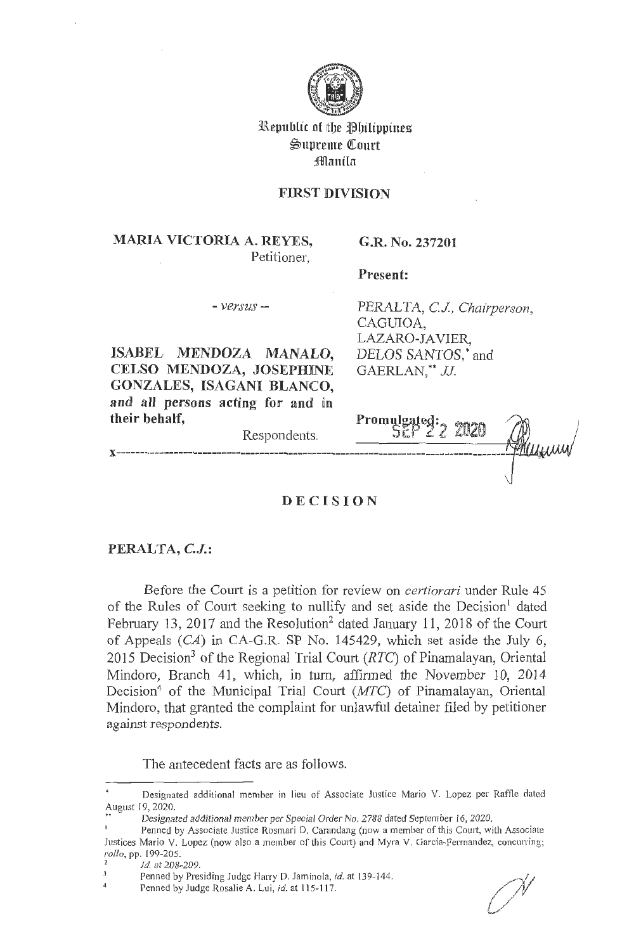

**Republic of the Philippines**  $\mathfrak{S}$ upreme Court **:iflflmtUn** 

## **FIRST DIVISION**

# **MARIA VICTORIA A. REYES,**  Petitioner,

**G.R. No. 237201** 

**Present:** 

CAGUIOA,

LAZARO-JAVIER,

GAERLAN,\*\* JJ

DELOS SANTOS,\* and

- *versus -*

**ISABEL MENDOZA MANALO, CELSO MENDOZA, JOSEPHINE GONZALES, ISAGANI BLANCO,**  and all persons acting for and in **their behalf,** 

Respondents.

Promulgated: 2 2020

PERALTA, *CJ, Chairperson,* 

## **D E CISION**

#### **PERALTA, C.J.:**

Before the Court is a petition for review on *certiorari* under Rule 45 of the Rules of Court seeking to nullify and set aside the Decision<sup>1</sup> dated February 13, 2017 and the Resolution<sup>2</sup> dated January 11, 2018 of the Court of Appeals (CA) in CA-G.R. **SP** No. 145429, which set aside the July 6, 2015 Decision3 of the Regional Trial Court *(RTC)* of Pinamalayan, Oriental Mindoro, Branch 41, which, in turn, affirmed the November 10, 2014 Decision<sup>4</sup> of the Municipal Trial Court ( $MTC$ ) of Pinamalayan, Oriental Mindoro, that granted the complaint for unlawful detainer filed by petitioner against respondents.

The antecedent facts are as follows.

Designated additional member in lieu of Associate Justice Mario V. Lopez per Raffle dated August 19, 2020.

<sup>..</sup> Designated additional member per Special Order No. 2788 dated September 16, 2020.

Penned by Associate Justice Rosmari D. Carandang (now a member of this Court, with Associate Justices Mario V. Lopez (now also a member of this Court) and Myra V. Garcia-Ferrnandez, concurring;

*rollo, pp. 199-205.*<br><sup>2</sup> *Id.* at 208-209

Penned by Presiding Judge Harry D. Jaminola, *id.* at 139- 144.

Penned by Judge Rosalie A. Lui, *id.* at 115-117.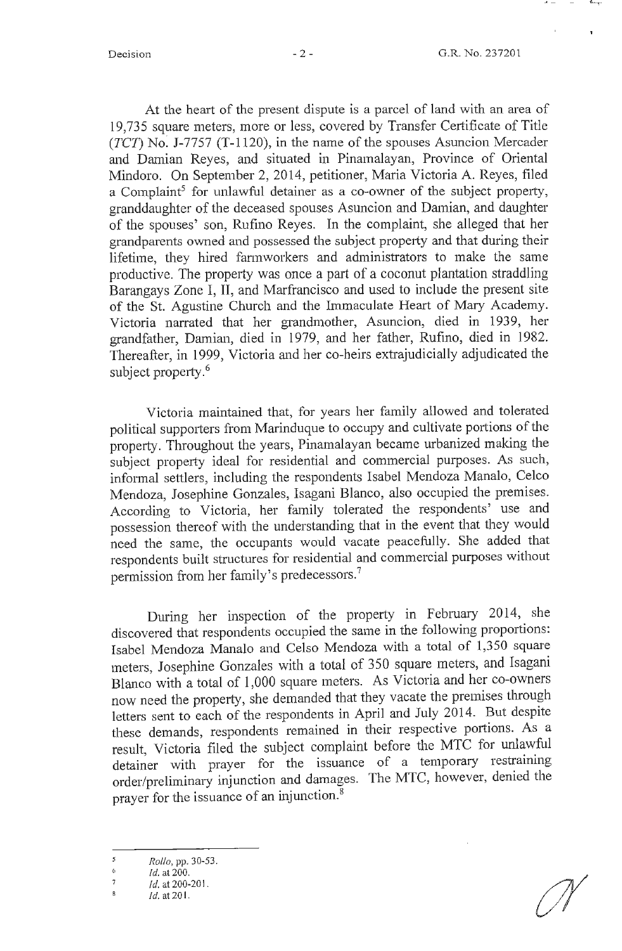At the heart of the present dispute is a parcel of land with an area of 19,735 square meters, more or less, covered by Transfer Certificate of Title (TCT) No: J-7757 (T-1120), in the name of the spouses Asuncion Mercader and Damian Reyes, and situated in Pinamalayan, Province of Oriental Mindoro. On September 2, 2014, petitioner, Maria Victoria A. Reyes, filed a Complaint<sup>5</sup> for unlawful detainer as a co-owner of the subject property, granddaughter of the deceased spouses Asuncion and Damian, and daughter of the spouses' son, Rufino Reyes. In the complaint, she alleged that her grandparents owned and possessed the subject property and that during their lifetime, they hired farmworkers and administrators to make the same productive. The property was once a part of a coconut plantation straddling Barangays Zone I, II, and Marfrancisco and used to include the present site of the St. Agustine Church and the Immaculate Heart of Mary Academy. Victoria narrated that her grandmother, Asuncion, died in 1939, her grandfather, Damian, died in 1979, and her father, Rufino, died in 1982. Thereafter, in 1999, Victoria and her co-heirs extrajudicially adjudicated the subject property.<sup>6</sup>

Victoria maintained that, for years her family allowed and tolerated political supporters from Marinduque to occupy and cultivate portions of the property. Throughout the years, Pinamalayan became urbanized making the subject property ideal for residential and commercial purposes. As such, informal settlers, including the respondents Isabel Mendoza Manalo, Celco Mendoza, Josephine Gonzales, Isagani Blanco, also occupied the premises. According to Victoria, her family tolerated the respondents' use and possession thereof with the understanding that in the event that they would need the same, the occupants would vacate peacefully. She added that respondents built structures for residential and commercial purposes without permission from her family's predecessors.<sup>7</sup>

During her inspection of the property in February 2014, she discovered that respondents occupied the same in the following proportions: Isabel Mendoza Manalo and Celso Mendoza with a total of 1,350 square meters, Josephine Gonzales with a total of 350 square meters, and Isagani Blanco with a total of 1,000 square meters. As Victoria and her co-owners now need the property, she demanded that they vacate the premises through letters sent to each of the respondents in April and July 2014. But despite these demands, respondents remained in their respective portions. As a result, Victoria filed the subject complaint before the MTC for unlawful detainer with prayer for the issuance of a temporary restraining order/preliminary injunction and damages. The MTC, however, denied the prayer for the issuance of an injunction.<sup>8</sup>

 $\overline{5}$ *Rollo,* pp. 30-53.

 $\mathfrak{b}$ Id. at 200.

 $\overline{7}$ Id. at 200-201.  $\overline{\mathbf{8}}$ 

Id. at 201.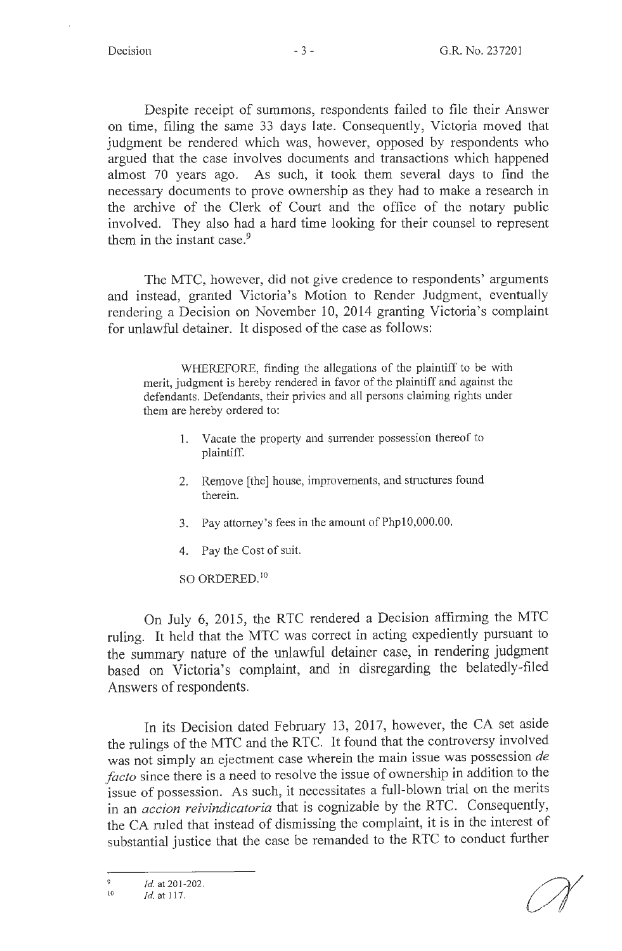Despite receipt of summons, respondents failed to file their Answer on time, filing the same 33 days late. Consequently, Victoria moved that judgment be rendered which was, however, opposed by respondents who argued that the case involves documents and transactions which happened almost 70 years ago. As such, it took them several days to find the necessary documents to prove ownership as they had to make a research in the archive of the Clerk of Court and the office of the notary public involved. They also had a hard time looking for their counsel to represent them in the instant case. $9$ 

The MTC, however, did not give credence to respondents' arguments and instead, granted Victoria's Motion to Render Judgment, eventually rendering a Decision on November 10, 2014 granting Victoria's complaint for unlawful detainer. It disposed of the case as follows:

WHEREFORE, finding the allegations of the plaintiff to be with merit, judgment is hereby rendered in favor of the plaintiff and against the defendants. Defendants, their privies and all persons claiming rights under them are hereby ordered to:

- 1. Vacate the property and surrender possession thereof to plaintiff.
- 2. Remove [the] house, improvements, and structures found therein.
- 3. Pay attorney's fees in the amount of Phpl0,000.00.
- 4. Pay the Cost of suit.

SO ORDERED.<sup>10</sup>

On July 6, 2015, the RTC rendered a Decision affirming the MTC ruling. It held that the MTC was correct in acting expediently pursuant to the summary nature of the unlawful detainer case, in rendering judgment based on Victoria's complaint, and in disregarding the belatedly-filed Answers of respondents.

In its Decision dated February 13, 2017, however, the CA set aside the rulings of the MTC and the RTC. It found that the controversy involved was not simply an ejectment case wherein the main issue was possession *de facto* since there is a need to resolve the issue of ownership in addition to the issue of possession. As such, it necessitates a full-blown trial on the merits in an *accion reivindicatoria* that is cognizable by the RTC. Consequently, the CA ruled that instead of dismissing the complaint, it is in the interest of substantial justice that the case be remanded to the RTC to conduct further

 $\frac{9}{10}$  *Id.* at 201-202.

<sup>10</sup> *id.* at 117.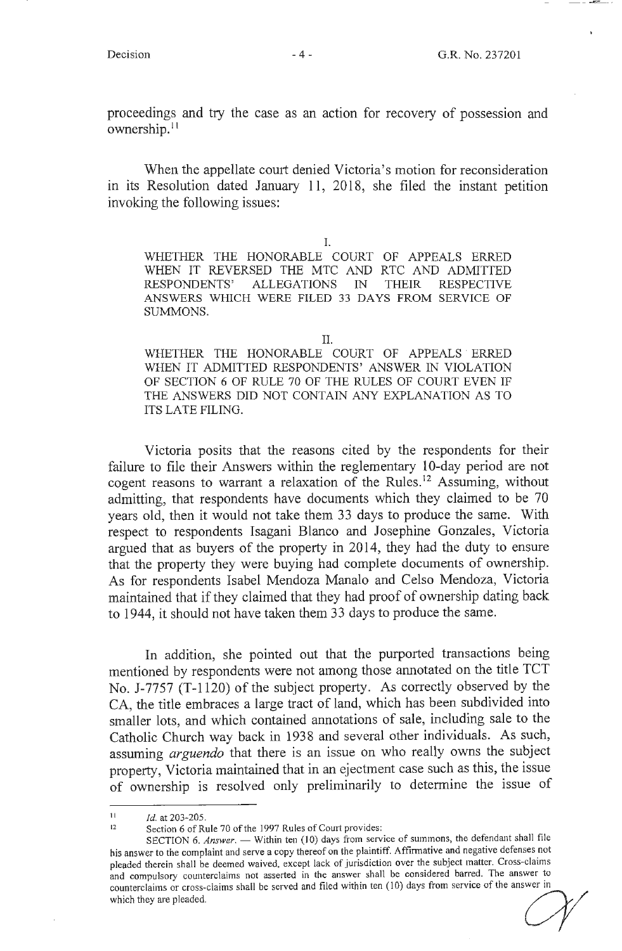proceedings and try the case as an action for recovery of possession and ownership.<sup>11</sup>

When the appellate court denied Victoria's motion for reconsideration in its Resolution dated January 11, 2018, she filed the instant petition invoking the following issues:

I.

WHETHER THE HONORABLE COURT OF APPEALS ERRED WHEN IT REVERSED THE MIC AND RIC AND ADMITTED RESPONDENTS' ALLEGATIONS IN THEIR RESPECTIVE ANSWERS WHICH WERE FILED 33 DAYS FROM SERVICE OF SUMMONS.

II.

WHETHER THE HONORABLE COURT OF APPEALS ERRED WHEN IT ADMITTED RESPONDENTS' ANSWER IN VIOLATION OF SECTION 6 OF RULE 70 OF THE RULES OF COURT EVEN IF THE ANSWERS DID NOT CONTAIN ANY EXPLANATION AS TO ITS LATE FILING.

Victoria posits that the reasons cited by the respondents for their failure to file their Answers within the reglementary 10-day period are not cogent reasons to warrant a relaxation of the Rules.<sup>12</sup> Assuming, without admitting, that respondents have documents which they claimed to be 70 years old, then it would not take them 33 days to produce the same. With respect to respondents Isagani Blanco and Josephine Gonzales, Victoria argued that as buyers of the property in 2014, they had the duty to ensure that the property they were buying had complete documents of ownership. As for respondents Isabel Mendoza Manalo and Celso Mendoza, Victoria maintained that if they claimed that they had proof of ownership dating back to 1944, it should not have taken them 33 days to produce the same.

In addition, she pointed out that the purported transactions being mentioned by respondents were not among those annotated on the title TCT No. J-7757 (T-1120) of the subject property. As correctly observed by the CA, the title embraces a large tract of land, which has been subdivided into smaller lots, and which contained annotations of sale, including sale to the Catholic Church way back in 1938 and several other individuals. As such, assuming *arguendo* that there is an issue on who really owns the subject property, Victoria maintained that in an ejectment case such as this, the issue of ownership is resolved only preliminarily to determine the issue of

 $11$  *Id.* at 203-205.

Section 6 of Rule 70 of the 1997 Rules of Court provides:

SECTION 6. Answer. - Within ten (10) days from service of summons, the defendant shall file his answer to the complaint and serve a copy thereof on the plaintiff. Affinnative and negative defenses not pleaded therein shall be deemed waived, except lack of jurisdiction over the subject matter. Cross-claims and compulsory counterclaims not asserted in the answer shall be considered barred. The answer to counterclaims or cross-claims shall be served and filed within ten (10) days from service of the answer in The answer to the complaint and serve a copy include of the planning. This intervents in aggress of pleaded therein shall be deemed waived, except lack of jurisdiction over the subject matter. Cross-claims and compulsory c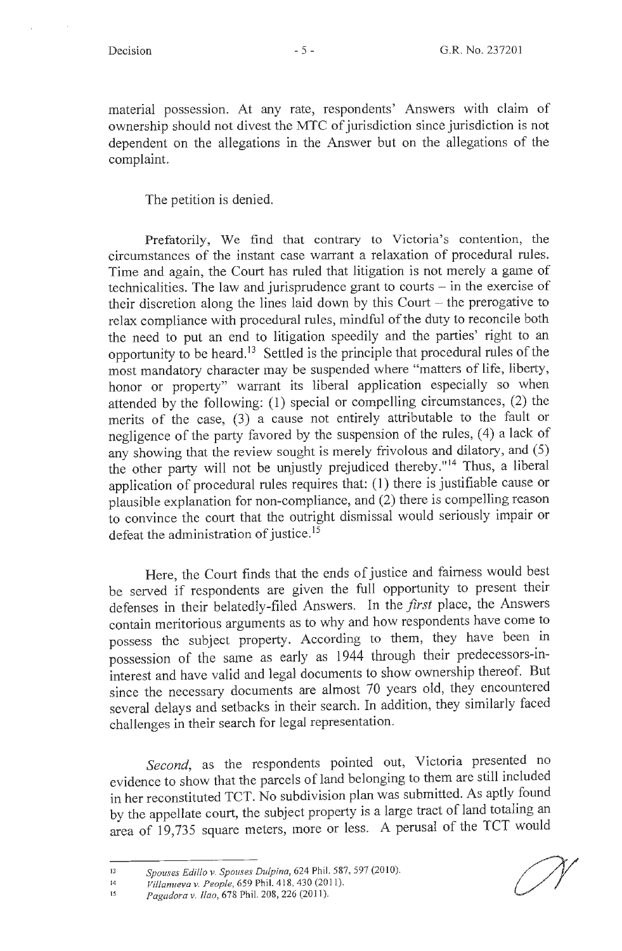material possession. At any rate, respondents' Answers with claim of ownership should not divest the MTC of jurisdiction since jurisdiction is not dependent on the allegations in the Answer but on the allegations of the complaint.

The petition is denied.

Prefatorily, We find that contrary to Victoria's contention, the circumstances of the instant case warrant a relaxation of procedural rules. Time and again, the Court has ruled that litigation is not merely a game of technicalities. The law and jurisprudence grant to courts  $-$  in the exercise of their discretion along the lines laid down by this Court  $-$  the prerogative to relax compliance with procedural rules, mindful of the duty to reconcile both the need to put an end to litigation speedily and the parties' right to an opportunity to be heard.<sup>13</sup> Settled is the principle that procedural rules of the most mandatory character may be suspended where "matters of life, liberty, honor or property" warrant its liberal application especially so when attended by the following: ( 1) special or compelling circumstances, (2) the merits of the case, (3) a cause not entirely attributable to the fault or negligence of the party favored by the suspension of the rules, (4) a lack of any showing that the review sought is merely frivolous and dilatory, and (5) the other party will not be unjustly prejudiced thereby."<sup>14</sup> Thus, a liberal application of procedural rules requires that: (1) there is justifiable cause or plausible explanation for non-compliance, and (2) there is compelling reason to convince the court that the outright dismissal would seriously impair or defeat the administration of justice. 15

Here, the Court finds that the ends of justice and fairness would best be served if respondents are given the full opportunity to present their defenses in their belatedly-filed Answers. In the *first* place, the Answers contain meritorious arguments as to why and how respondents have come to possess the subject property. According to them, they have been in possession of the same as early as 1944 through their predecessors-ininterest and have valid and legal documents to show ownership thereof. But since the necessary documents are almost 70 years old, they encountered several delays and setbacks in their search. In addition, they similarly faced challenges in their search for legal representation.

*Second,* as the respondents pointed out, Victoria presented no evidence to show that the parcels of land belonging to them are still included in her reconstituted TCT. No subdivision plan was submitted. As aptly found by the appellate court, the subject property is a large tract of land totaling an area of 19,735 square meters, more or less. A perusal of the TCT would

<sup>13</sup>  Spouses Edillo v. Spouses Dulpina, 624 Phil. 587, 597 (2010).

<sup>14</sup>  *Villanueva v. People,* 659 Phil. 4 l 8, 430 (2011).

<sup>15</sup>  *Pagadora v. !lao,* 678 Phil. 208, 226 (201 I).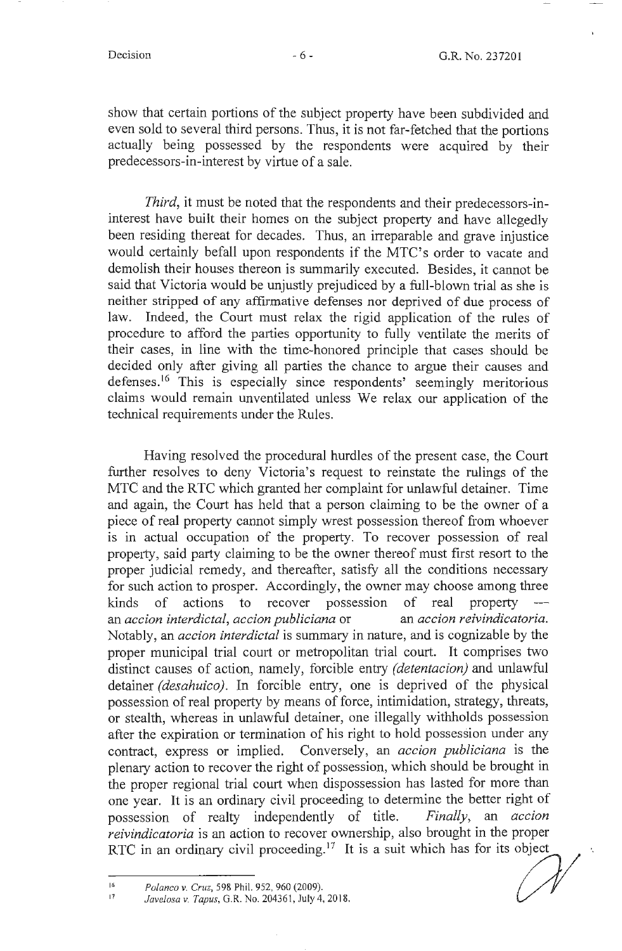show that certain portions of the subject property have been subdivided and even sold to several third persons. Thus, it is not far-fetched that the portions actually being possessed by the respondents were acquired by their predecessors-in-interest by virtue of a sale.

*Third,* it must be noted that the respondents and their predecessors-ininterest have built their homes on the subject property and have allegedly been residing thereat for decades. Thus, an irreparable and grave injustice would certainly befall upon respondents if the MTC's order to vacate and demolish their houses thereon is summarily executed. Besides, it cannot be said that Victoria would be unjustly prejudiced by a full-blown trial as she is neither stripped of any affirmative defenses nor deprived of due process of law. Indeed, the Court must relax the rigid application of the rules of procedure to afford the parties opportunity to fully ventilate the merits of their cases, in line with the time-honored principle that cases should be decided only after giving all parties the chance to argue their causes and defenses.<sup>16</sup> This is especially since respondents' seemingly meritorious claims would remain unventilated unless We relax our application of the technical requirements under the Rules.

Having resolved the procedural hurdles of the present case, the Court further resolves to deny Victoria's request to reinstate the rulings of the MTC and the RTC which granted her complaint for unlawful detainer. Time and again, the Court has held that a person claiming to be the owner of a piece of real property cannot simply wrest possession thereof from whoever is in actual occupation of the property. To recover possession of real property, said party claiming to be the owner thereof must first resort to the proper judicial remedy, and thereafter, satisfy all the conditions necessary for such action to prosper. Accordingly, the owner may choose among three kinds of actions to recover possession of real property an *accion interdictal, accion publiciana* or an *accion reivindicatoria*. Notably, an *accion interdictal* is summary in nature, and is cognizable by the proper municipal trial court or metropolitan trial court. It comprises two distinct causes of action, namely, forcible entry *(detentacion)* and unlawful detainer *(desahuico).* In forcible entry, one is deprived of the physical possession of real property by means of force, intimidation, strategy, threats, or stealth, whereas in unlawful detainer, one illegally withholds possession after the expiration or termination of his right to hold possession under any contract, express or implied. Conversely, an *accion publiciana* is the plenary action to recover the right of possession, which should be brought in the proper regional trial court when dispossession has lasted for more than one year. It is an ordinary civil proceeding to determine the better right of possession of realty independently of title. *Finally,* an *accion reivindicatoria* is an action to recover ownership, also brought in the proper RTC in an ordinary civil proceeding.<sup>17</sup> It is a suit which has for its object

*Polanco v. Cruz*, 598 Phil. 952, 960 (2009).<br> *Javelosa v. Tapus*, G.R. No. 204361, July 4, 2018.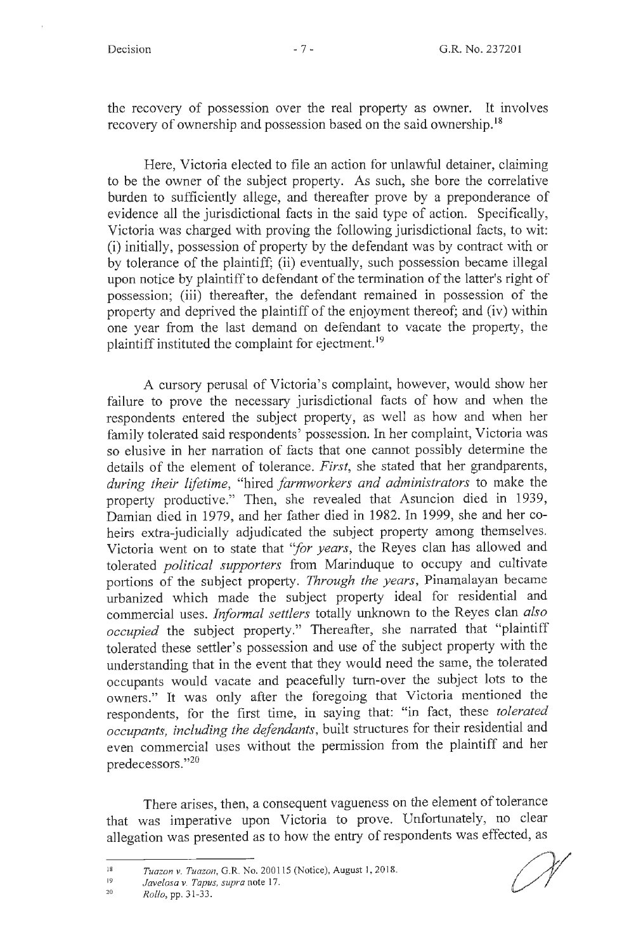the recovery of possession over the real property as owner. It involves recovery of ownership and possession based on the said ownership.<sup>18</sup>

Here, Victoria elected to file an action for unlawful detainer, claiming to be the owner of the subject property. As such, she bore the correlative burden to sufficiently allege, and thereafter prove by a preponderance of evidence all the jurisdictional facts in the said type of action. Specifically, Victoria was charged with proving the following jurisdictional facts, to wit: (i) initially, possession of property by the defendant was by contract with or by tolerance of the plaintiff; (ii) eventually, such possession became illegal upon notice by plaintiff to defendant of the termination of the latter's right of possession; (iii) thereafter, the defendant remained in possession of the property and deprived the plaintiff of the enjoyment thereof; and (iv) within one year from the last demand on defendant to vacate the property, the plaintiff instituted the complaint for ejectment.<sup>19</sup>

A cursory perusal of Victoria's complaint, however, would show her failure to prove the necessary jurisdictional facts of how and when the respondents entered the subject property, as well as how and when her family tolerated said respondents' possession. In her complaint, Victoria was so elusive in her narration of facts that one cannot possibly determine the details of the element of tolerance. *First,* she stated that her grandparents, *during their lifetime,* "hired *farmworkers and administrators* to make the property productive." Then, she revealed that Asuncion died in 1939, Damian died in 1979, and her father died in 1982. In 1999, she and her coheirs extra-judicially adjudicated the subject property among themselves. Victoria went on to state that *"for years,* the Reyes clan has allowed and tolerated *political supporters* from Marinduque to occupy and cultivate portions of the subject property. *Through the years,* Pinamalayan became urbanized which made the subject property ideal for residential and commercial uses. *Informal settlers* totally unknown to the Reyes clan *also occupied* the subject property." Thereafter, she narrated that "plaintiff tolerated these settler's possession and use of the subject property with the understanding that in the event that they would need the same, the tolerated occupants would vacate and peacefully turn-over the subject lots to the owners." It was only after the foregoing that Victoria mentioned the respondents, for the first time, in saying that: "in fact, these *tolerated occupants, including the defendants,* built structures for their residential and even commercial uses without the permission from the plaintiff and her predecessors."<sup>20</sup>

There arises, then, a consequent vagueness on the element of tolerance that was imperative upon Victoria to prove. Unfortunately, no clear allegation was presented as to how the entry of respondents was effected, as

<sup>18</sup>  *Tuazon v. Tuazon,* G.R. No. 200115 (Notice), August 1, 2018.

<sup>19</sup>  *Javelosa v. Tapus, supra* note 17.

<sup>20</sup>  *Rollo,* pp. 3 1-33.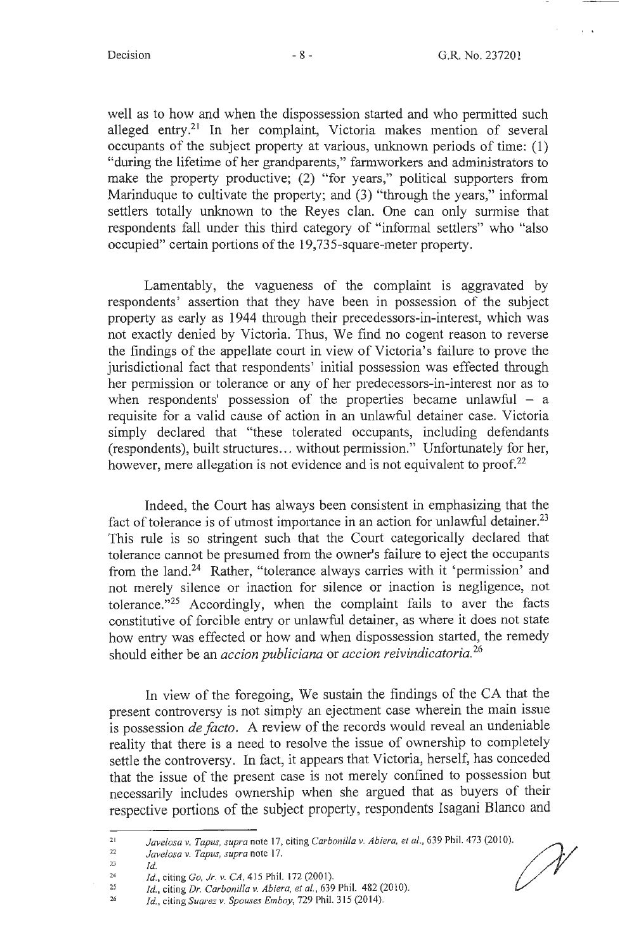' ' t 4

well as to how and when the dispossession started and who permitted such alleged entry.<sup>21</sup> In her complaint, Victoria makes mention of several occupants of the subject property at various, unknown periods of time: (1) "during the lifetime of her grandparents," farmworkers and administrators to make the property productive; (2) "for years," political supporters from Marinduque to cultivate the property; and (3) "through the years," informal settlers totally unknown to the Reyes clan. One can only surmise that respondents fall under this third category of "informal settlers" who "also occupied" certain portions of the 19,735-square-meter property.

Lamentably, the vagueness of the complaint is aggravated by respondents' assertion that they have been in possession of the subject property as early as 1944 through their precedessors-in-interest, which was not exactly denied by Victoria. Thus, We find no cogent reason to reverse the findings of the appellate court in view of Victoria's failure to prove the jurisdictional fact that respondents' initial possession was effected through her permission or tolerance or any of her predecessors-in-interest nor as to when respondents' possession of the properties became unlawful  $-$  a requisite for a valid cause of action in an unlawful detainer case. Victoria simply declared that "these tolerated occupants, including defendants (respondents), built structures .. . without permission." Unfortunately for her, however, mere allegation is not evidence and is not equivalent to proof.<sup>22</sup>

Indeed, the Court has always been consistent in emphasizing that the fact of tolerance is of utmost importance in an action for unlawful detainer.<sup>23</sup> This rule is so stringent such that the Court categorically declared that tolerance cannot be presumed from the owner's failure to eject the occupants from the land.<sup>24</sup> Rather, "tolerance always carries with it 'permission' and not merely silence or inaction for silence or inaction is negligence, not tolerance."25 Accordingly, when the complaint fails to aver the facts constitutive of forcible entry or unlawful detainer, as where it does not state how entry was effected or how and when dispossession started, the remedy should either be an *accion publiciana* or *ace ion reivindicatoria.* <sup>26</sup>

In view of the foregoing, We sustain the findings of the CA that the present controversy is not simply an ejectment case wherein the main issue is possession *de facto .* A review of the records would reveal an undeniable reality that there is a need to resolve the issue of ownership to completely settle the controversy. In fact, it appears that Victoria, herself, has conceded that the issue of the present case is not merely confined to possession but necessarily includes ownership when she argued that as buyers of their respective portions of the subject property, respondents Isagani Blanco and

<sup>21</sup>  Javelosa v. Tapus, supra note 17, citing *Carbonilla v. Abiera, et al.*, 639 Phil. 473 (2010).

<sup>22</sup>  *Javelosa* v. *Tapus, supra* note 17.

<sup>23</sup>  *Id.* 

<sup>24</sup>  *Id.,* citing *Go, Jr. v. CA,* 415 Phil. 172 (2001).

<sup>25</sup>  *Id., citing Dr. Carbonilla v. Abiera, et al., 639 Phil. 482 (2010).* 

<sup>26</sup>  *Id.,* citing *Suarez v. Spouses Emboy,* 729 Phil. 315 (2014).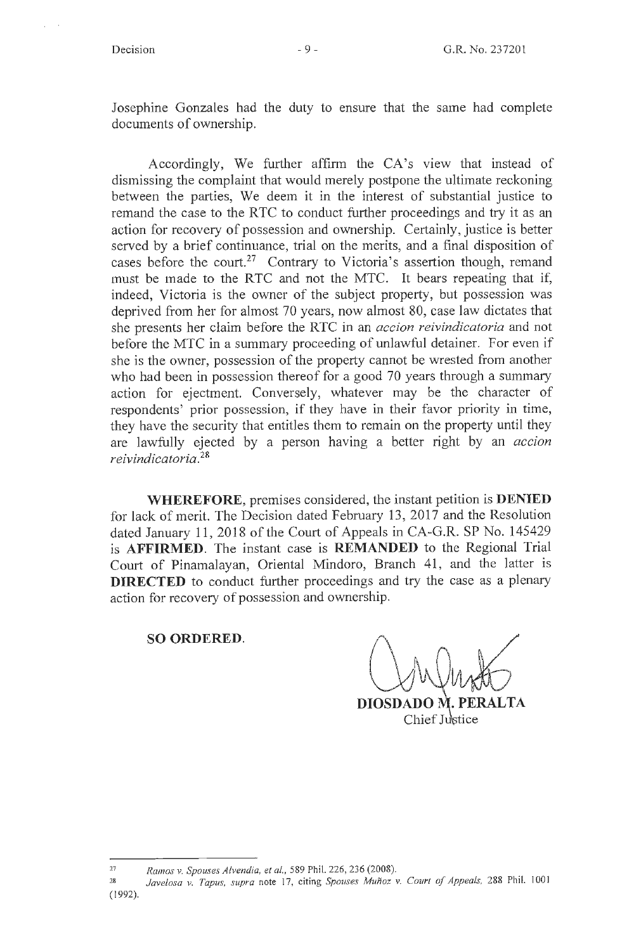$\hat{u}$  .  $\hat{u}$ 

Josephine Gonzales had the duty to ensure that the same had complete documents of ownership.

Accordingly, We further affirm the CA's view that instead of dismissing the complaint that would merely postpone the ultimate reckoning between the parties, We deem it in the interest of substantial justice to remand the case to the RTC to conduct further proceedings and try it as an action for recovery of possession and ownership. Certainly, justice is better served by a brief continuance, trial on the merits, and a final disposition of cases before the court.<sup>27</sup> Contrary to Victoria's assertion though, remand must be made to the RTC and not the MTC. It bears repeating that if, indeed, Victoria is the owner of the subject property, but possession was deprived from her for almost 70 years, now almost 80, case law dictates that she presents her claim before the RTC in an *accion reivindicatoria* and not before the MTC in a summary proceeding of unlawful detainer. For even if she is the owner, possession of the property cannot be wrested from another who had been in possession thereof for a good 70 years through a summary action for ejectment. Conversely, whatever may be the character of respondents' prior possession, if they have in their favor priority in time, they have the security that entitles them to remain on the property until they are lawfully ejected by a person having a better right by an *accion reivindicatoria.* <sup>28</sup>

**WHEREFORE,** premises considered, the instant petition is **DENIED**  for lack of merit. The Decision dated February 13, 2017 and the Resolution dated January 11, 2018 of the Court of Appeals in CA-G.R. SP No. 145429 is **AFFIRMED.** The instant case is **REMANDED** to the Regional Trial Court of Pinamalayan, Oriental Mindoro, Branch 41, and the latter is **DIRECTED** to conduct further proceedings and try the case as a plenary action for recovery of possession and ownership.

**SO ORDERED.** 

DIOSDADO M. PERALTA Chief Justice

<sup>27</sup>  *Ramos v. Spouses Alvendia, et al.,* 589 Phil. 226, 236 (2008).

<sup>28</sup>  (1992). Javelosa v. Tapus, supra note 17, citing Spouses Muñoz v. Court of Appeals, 288 Phil. 1001